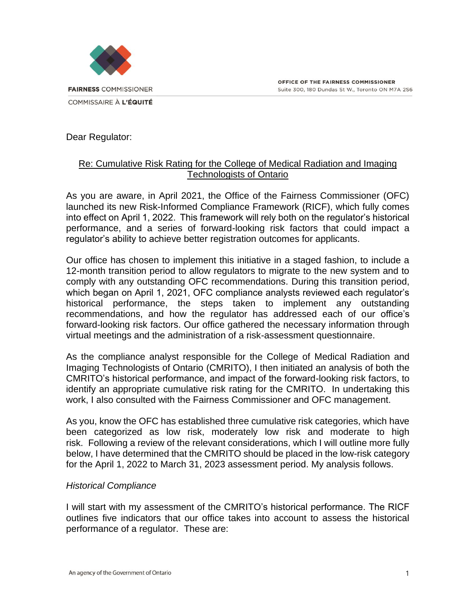Dear Regulator:

## Re: Cumulative Risk Rating for the College of Medical Radiation and Imaging Technologists of Ontario

As you are aware, in April 2021, the Office of the Fairness Commissioner (OFC) launched its new Risk-Informed Compliance Framework (RICF), which fully comes into effect on April 1, 2022.  This framework will rely both on the regulator's historical performance, and a series of forward-looking risk factors that could impact a regulator's ability to achieve better registration outcomes for applicants.

Our office has chosen to implement this initiative in a staged fashion, to include a 12-month transition period to allow regulators to migrate to the new system and to comply with any outstanding OFC recommendations. During this transition period, which began on April 1, 2021, OFC compliance analysts reviewed each regulator's historical performance, the steps taken to implement any outstanding recommendations, and how the regulator has addressed each of our office's forward-looking risk factors. Our office gathered the necessary information through virtual meetings and the administration of a risk-assessment questionnaire.

As the compliance analyst responsible for the College of Medical Radiation and Imaging Technologists of Ontario (CMRITO), I then initiated an analysis of both the CMRITO's historical performance, and impact of the forward-looking risk factors, to identify an appropriate cumulative risk rating for the CMRITO. In undertaking this work, I also consulted with the Fairness Commissioner and OFC management.

As you, know the OFC has established three cumulative risk categories, which have been categorized as low risk, moderately low risk and moderate to high risk. Following a review of the relevant considerations, which I will outline more fully below, I have determined that the CMRITO should be placed in the low-risk category for the April 1, 2022 to March 31, 2023 assessment period. My analysis follows.

## *Historical Compliance*

I will start with my assessment of the CMRITO's historical performance. The RICF outlines five indicators that our office takes into account to assess the historical performance of a regulator. These are: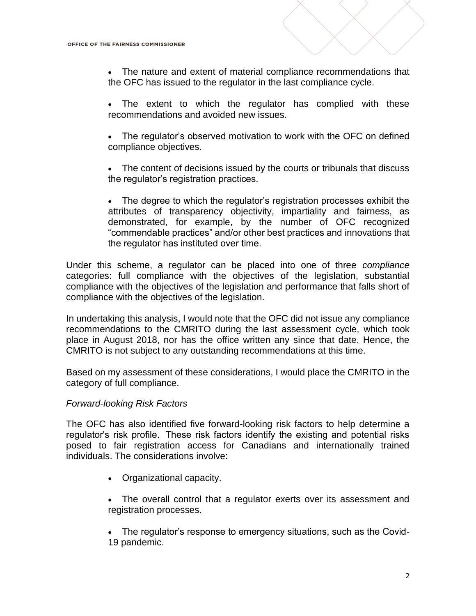• The nature and extent of material compliance recommendations that the OFC has issued to the regulator in the last compliance cycle.

• The extent to which the regulator has complied with these recommendations and avoided new issues.

The regulator's observed motivation to work with the OFC on defined compliance objectives.

• The content of decisions issued by the courts or tribunals that discuss the regulator's registration practices. 

• The degree to which the regulator's registration processes exhibit the attributes of transparency objectivity, impartiality and fairness, as demonstrated, for example, by the number of OFC recognized "commendable practices" and/or other best practices and innovations that the regulator has instituted over time. 

Under this scheme, a regulator can be placed into one of three *compliance* categories: full compliance with the objectives of the legislation, substantial compliance with the objectives of the legislation and performance that falls short of compliance with the objectives of the legislation.

In undertaking this analysis, I would note that the OFC did not issue any compliance recommendations to the CMRITO during the last assessment cycle, which took place in August 2018, nor has the office written any since that date. Hence, the CMRITO is not subject to any outstanding recommendations at this time.

Based on my assessment of these considerations, I would place the CMRITO in the category of full compliance.

## *Forward-looking Risk Factors*

The OFC has also identified five forward-looking risk factors to help determine a regulator's risk profile.  These risk factors identify the existing and potential risks posed to fair registration access for Canadians and internationally trained individuals. The considerations involve:

- Organizational capacity.
- The overall control that a regulator exerts over its assessment and registration processes.
- The regulator's response to emergency situations, such as the Covid-19 pandemic.